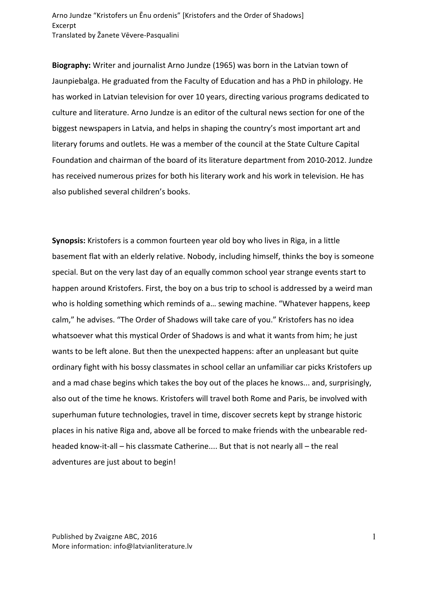Arno Jundze "Kristofers un Enu ordenis" [Kristofers and the Order of Shadows] Excerpt Translated by Žanete Vēvere-Pasqualini

**Biography:** Writer and journalist Arno Jundze (1965) was born in the Latvian town of Jaunpiebalga. He graduated from the Faculty of Education and has a PhD in philology. He has worked in Latvian television for over 10 years, directing various programs dedicated to culture and literature. Arno Jundze is an editor of the cultural news section for one of the biggest newspapers in Latvia, and helps in shaping the country's most important art and literary forums and outlets. He was a member of the council at the State Culture Capital Foundation and chairman of the board of its literature department from 2010-2012. Jundze has received numerous prizes for both his literary work and his work in television. He has also published several children's books.

**Synopsis:** Kristofers is a common fourteen year old boy who lives in Riga, in a little basement flat with an elderly relative. Nobody, including himself, thinks the boy is someone special. But on the very last day of an equally common school year strange events start to happen around Kristofers. First, the boy on a bus trip to school is addressed by a weird man who is holding something which reminds of a... sewing machine. "Whatever happens, keep calm," he advises. "The Order of Shadows will take care of you." Kristofers has no idea whatsoever what this mystical Order of Shadows is and what it wants from him; he just wants to be left alone. But then the unexpected happens: after an unpleasant but quite ordinary fight with his bossy classmates in school cellar an unfamiliar car picks Kristofers up and a mad chase begins which takes the boy out of the places he knows... and, surprisingly, also out of the time he knows. Kristofers will travel both Rome and Paris, be involved with superhuman future technologies, travel in time, discover secrets kept by strange historic places in his native Riga and, above all be forced to make friends with the unbearable redheaded know-it-all – his classmate Catherine.... But that is not nearly all – the real adventures are just about to begin!

Published by Zvaigzne ABC, 2016 More information: info@latvianliterature.lv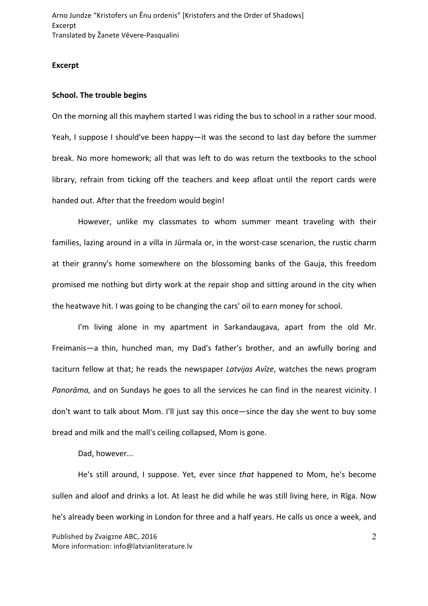Arno Jundze "Kristofers un Enu ordenis" [Kristofers and the Order of Shadows] Excerpt Translated by Žanete Vēvere-Pasqualini

## **Excerpt**

## **School.** The trouble begins

On the morning all this mayhem started I was riding the bus to school in a rather sour mood. Yeah, I suppose I should've been happy—it was the second to last day before the summer break. No more homework; all that was left to do was return the textbooks to the school library, refrain from ticking off the teachers and keep afloat until the report cards were handed out. After that the freedom would begin!

However, unlike my classmates to whom summer meant traveling with their families, lazing around in a villa in Jūrmala or, in the worst-case scenarion, the rustic charm at their granny's home somewhere on the blossoming banks of the Gauja, this freedom promised me nothing but dirty work at the repair shop and sitting around in the city when the heatwave hit. I was going to be changing the cars' oil to earn money for school.

I'm living alone in my apartment in Sarkandaugava, apart from the old Mr. Freimanis—a thin, hunched man, my Dad's father's brother, and an awfully boring and taciturn fellow at that; he reads the newspaper *Latvijas Avīze*, watches the news program *Panorāma*, and on Sundays he goes to all the services he can find in the nearest vicinity. I don't want to talk about Mom. I'll just say this once—since the day she went to buy some bread and milk and the mall's ceiling collapsed, Mom is gone.

Dad, however...

Published by Zvaigzne ABC, 2016 More information: info@latvianliterature.lv 2 He's still around, I suppose. Yet, ever since that happened to Mom, he's become sullen and aloof and drinks a lot. At least he did while he was still living here, in Rīga. Now he's already been working in London for three and a half years. He calls us once a week, and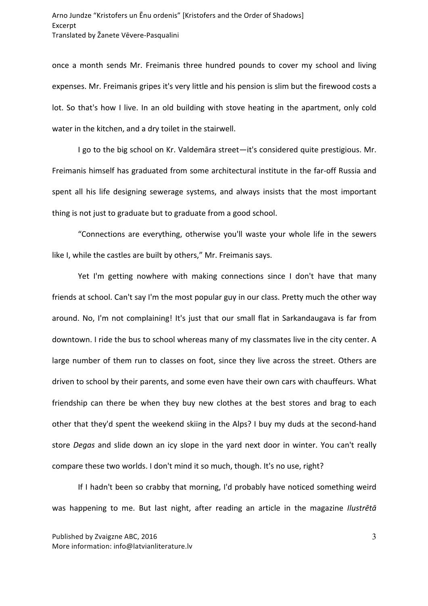once a month sends Mr. Freimanis three hundred pounds to cover my school and living expenses. Mr. Freimanis gripes it's very little and his pension is slim but the firewood costs a lot. So that's how I live. In an old building with stove heating in the apartment, only cold water in the kitchen, and a dry toilet in the stairwell.

I go to the big school on Kr. Valdemāra street—it's considered quite prestigious. Mr. Freimanis himself has graduated from some architectural institute in the far-off Russia and spent all his life designing sewerage systems, and always insists that the most important thing is not just to graduate but to graduate from a good school.

"Connections are everything, otherwise you'll waste your whole life in the sewers like I, while the castles are built by others," Mr. Freimanis says.

Yet I'm getting nowhere with making connections since I don't have that many friends at school. Can't say I'm the most popular guy in our class. Pretty much the other way around. No, I'm not complaining! It's just that our small flat in Sarkandaugava is far from downtown. I ride the bus to school whereas many of my classmates live in the city center. A large number of them run to classes on foot, since they live across the street. Others are driven to school by their parents, and some even have their own cars with chauffeurs. What friendship can there be when they buy new clothes at the best stores and brag to each other that they'd spent the weekend skiing in the Alps? I buy my duds at the second-hand store *Degas* and slide down an icy slope in the yard next door in winter. You can't really compare these two worlds. I don't mind it so much, though. It's no use, right?

If I hadn't been so crabby that morning, I'd probably have noticed something weird was happening to me. But last night, after reading an article in the magazine *Ilustrētā*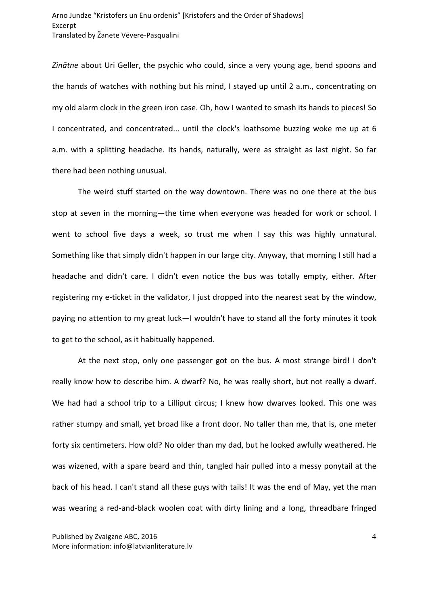Zinātne about Uri Geller, the psychic who could, since a very young age, bend spoons and the hands of watches with nothing but his mind, I stayed up until 2 a.m., concentrating on my old alarm clock in the green iron case. Oh, how I wanted to smash its hands to pieces! So I concentrated, and concentrated... until the clock's loathsome buzzing woke me up at 6 a.m. with a splitting headache. Its hands, naturally, were as straight as last night. So far there had been nothing unusual.

The weird stuff started on the way downtown. There was no one there at the bus stop at seven in the morning—the time when everyone was headed for work or school. I went to school five days a week, so trust me when I say this was highly unnatural. Something like that simply didn't happen in our large city. Anyway, that morning I still had a headache and didn't care. I didn't even notice the bus was totally empty, either. After registering my e-ticket in the validator, I just dropped into the nearest seat by the window, paying no attention to my great luck—I wouldn't have to stand all the forty minutes it took to get to the school, as it habitually happened.

At the next stop, only one passenger got on the bus. A most strange bird! I don't really know how to describe him. A dwarf? No, he was really short, but not really a dwarf. We had had a school trip to a Lilliput circus; I knew how dwarves looked. This one was rather stumpy and small, yet broad like a front door. No taller than me, that is, one meter forty six centimeters. How old? No older than my dad, but he looked awfully weathered. He was wizened, with a spare beard and thin, tangled hair pulled into a messy ponytail at the back of his head. I can't stand all these guys with tails! It was the end of May, yet the man was wearing a red-and-black woolen coat with dirty lining and a long, threadbare fringed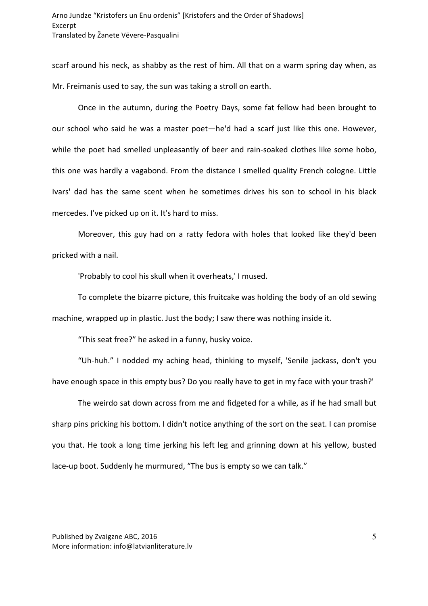scarf around his neck, as shabby as the rest of him. All that on a warm spring day when, as Mr. Freimanis used to say, the sun was taking a stroll on earth.

Once in the autumn, during the Poetry Days, some fat fellow had been brought to our school who said he was a master poet—he'd had a scarf just like this one. However, while the poet had smelled unpleasantly of beer and rain-soaked clothes like some hobo, this one was hardly a vagabond. From the distance I smelled quality French cologne. Little Ivars' dad has the same scent when he sometimes drives his son to school in his black mercedes. I've picked up on it. It's hard to miss.

Moreover, this guy had on a ratty fedora with holes that looked like they'd been pricked with a nail.

'Probably to cool his skull when it overheats,' I mused.

To complete the bizarre picture, this fruitcake was holding the body of an old sewing machine, wrapped up in plastic. Just the body; I saw there was nothing inside it.

"This seat free?" he asked in a funny, husky voice.

"Uh-huh." I nodded my aching head, thinking to myself, 'Senile jackass, don't you have enough space in this empty bus? Do you really have to get in my face with your trash?'

The weirdo sat down across from me and fidgeted for a while, as if he had small but sharp pins pricking his bottom. I didn't notice anything of the sort on the seat. I can promise you that. He took a long time jerking his left leg and grinning down at his yellow, busted lace-up boot. Suddenly he murmured, "The bus is empty so we can talk."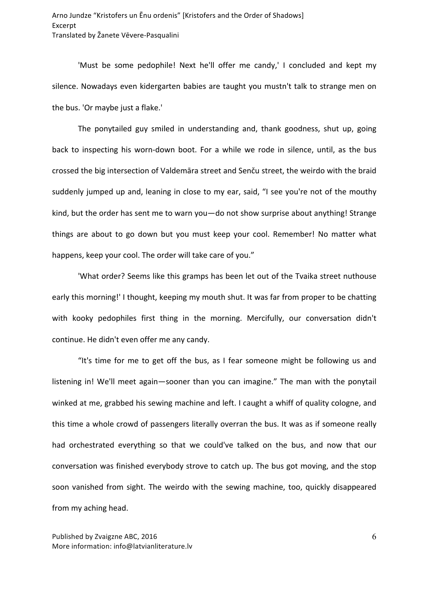'Must be some pedophile! Next he'll offer me candy,' I concluded and kept my silence. Nowadays even kidergarten babies are taught you mustn't talk to strange men on the bus. 'Or maybe just a flake.'

The ponytailed guy smiled in understanding and, thank goodness, shut up, going back to inspecting his worn-down boot. For a while we rode in silence, until, as the bus crossed the big intersection of Valdemāra street and Senču street, the weirdo with the braid suddenly jumped up and, leaning in close to my ear, said, "I see you're not of the mouthy kind, but the order has sent me to warn you—do not show surprise about anything! Strange things are about to go down but you must keep your cool. Remember! No matter what happens, keep your cool. The order will take care of you."

'What order? Seems like this gramps has been let out of the Tvaika street nuthouse early this morning!' I thought, keeping my mouth shut. It was far from proper to be chatting with kooky pedophiles first thing in the morning. Mercifully, our conversation didn't continue. He didn't even offer me any candy.

"It's time for me to get off the bus, as I fear someone might be following us and listening in! We'll meet again—sooner than you can imagine." The man with the ponytail winked at me, grabbed his sewing machine and left. I caught a whiff of quality cologne, and this time a whole crowd of passengers literally overran the bus. It was as if someone really had orchestrated everything so that we could've talked on the bus, and now that our conversation was finished everybody strove to catch up. The bus got moving, and the stop soon vanished from sight. The weirdo with the sewing machine, too, quickly disappeared from my aching head.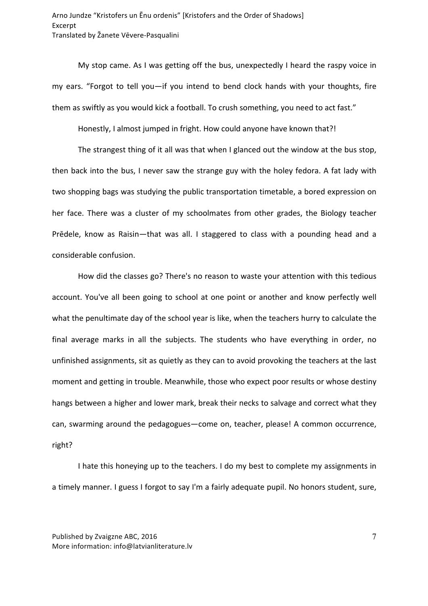My stop came. As I was getting off the bus, unexpectedly I heard the raspy voice in my ears. "Forgot to tell you—if you intend to bend clock hands with your thoughts, fire them as swiftly as you would kick a football. To crush something, you need to act fast."

Honestly, I almost jumped in fright. How could anyone have known that?!

The strangest thing of it all was that when I glanced out the window at the bus stop, then back into the bus, I never saw the strange guy with the holey fedora. A fat lady with two shopping bags was studying the public transportation timetable, a bored expression on her face. There was a cluster of my schoolmates from other grades, the Biology teacher Prēdele, know as Raisin—that was all. I staggered to class with a pounding head and a considerable confusion.

How did the classes go? There's no reason to waste your attention with this tedious account. You've all been going to school at one point or another and know perfectly well what the penultimate day of the school year is like, when the teachers hurry to calculate the final average marks in all the subjects. The students who have everything in order, no unfinished assignments, sit as quietly as they can to avoid provoking the teachers at the last moment and getting in trouble. Meanwhile, those who expect poor results or whose destiny hangs between a higher and lower mark, break their necks to salvage and correct what they can, swarming around the pedagogues—come on, teacher, please! A common occurrence, right?

I hate this honeying up to the teachers. I do my best to complete my assignments in a timely manner. I guess I forgot to say I'm a fairly adequate pupil. No honors student, sure,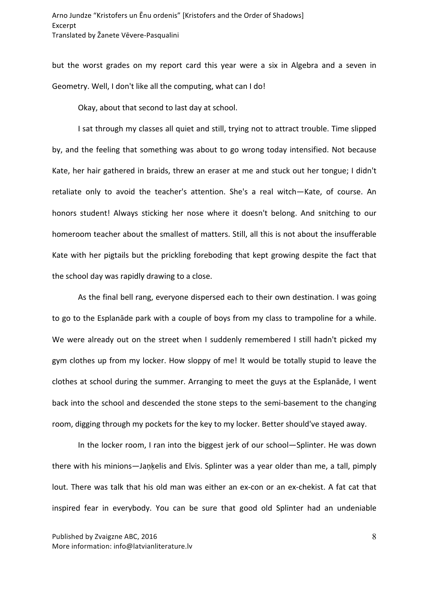but the worst grades on my report card this year were a six in Algebra and a seven in Geometry. Well, I don't like all the computing, what can I do!

Okay, about that second to last day at school.

I sat through my classes all quiet and still, trying not to attract trouble. Time slipped by, and the feeling that something was about to go wrong today intensified. Not because Kate, her hair gathered in braids, threw an eraser at me and stuck out her tongue; I didn't retaliate only to avoid the teacher's attention. She's a real witch-Kate, of course. An honors student! Always sticking her nose where it doesn't belong. And snitching to our homeroom teacher about the smallest of matters. Still, all this is not about the insufferable Kate with her pigtails but the prickling foreboding that kept growing despite the fact that the school day was rapidly drawing to a close.

As the final bell rang, everyone dispersed each to their own destination. I was going to go to the Esplanāde park with a couple of boys from my class to trampoline for a while. We were already out on the street when I suddenly remembered I still hadn't picked my gym clothes up from my locker. How sloppy of me! It would be totally stupid to leave the clothes at school during the summer. Arranging to meet the guys at the Esplanade, I went back into the school and descended the stone steps to the semi-basement to the changing room, digging through my pockets for the key to my locker. Better should've stayed away.

In the locker room, I ran into the biggest jerk of our school—Splinter. He was down there with his minions—Jaņķelis and Elvis. Splinter was a year older than me, a tall, pimply lout. There was talk that his old man was either an ex-con or an ex-chekist. A fat cat that inspired fear in everybody. You can be sure that good old Splinter had an undeniable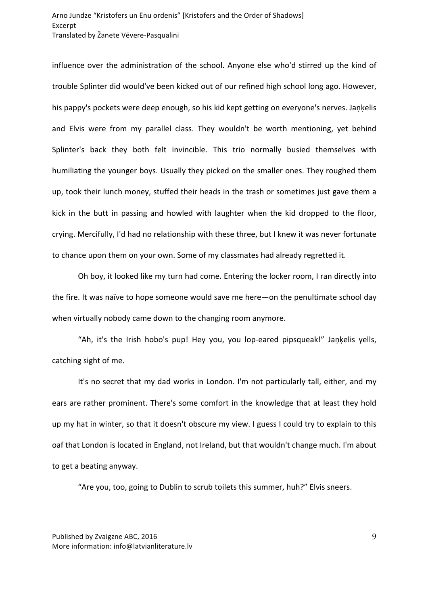## Arno Jundze "Kristofers un Enu ordenis" [Kristofers and the Order of Shadows] Excerpt Translated by Žanete Vēvere-Pasqualini

influence over the administration of the school. Anyone else who'd stirred up the kind of trouble Splinter did would've been kicked out of our refined high school long ago. However, his pappy's pockets were deep enough, so his kid kept getting on everyone's nerves. Jankelis and Elvis were from my parallel class. They wouldn't be worth mentioning, yet behind Splinter's back they both felt invincible. This trio normally busied themselves with humiliating the younger boys. Usually they picked on the smaller ones. They roughed them up, took their lunch money, stuffed their heads in the trash or sometimes just gave them a kick in the butt in passing and howled with laughter when the kid dropped to the floor, crying. Mercifully, I'd had no relationship with these three, but I knew it was never fortunate to chance upon them on your own. Some of my classmates had already regretted it.

Oh boy, it looked like my turn had come. Entering the locker room, I ran directly into the fire. It was naïve to hope someone would save me here—on the penultimate school day when virtually nobody came down to the changing room anymore.

"Ah, it's the Irish hobo's pup! Hey you, you lop-eared pipsqueak!" Jaņķelis yells, catching sight of me.

It's no secret that my dad works in London. I'm not particularly tall, either, and my ears are rather prominent. There's some comfort in the knowledge that at least they hold up my hat in winter, so that it doesn't obscure my view. I guess I could try to explain to this oaf that London is located in England, not Ireland, but that wouldn't change much. I'm about to get a beating anyway.

"Are you, too, going to Dublin to scrub toilets this summer, huh?" Elvis sneers.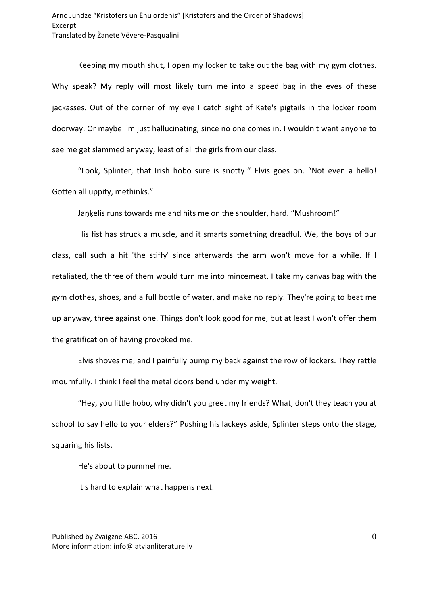Keeping my mouth shut, I open my locker to take out the bag with my gym clothes. Why speak? My reply will most likely turn me into a speed bag in the eyes of these jackasses. Out of the corner of my eye I catch sight of Kate's pigtails in the locker room doorway. Or maybe I'm just hallucinating, since no one comes in. I wouldn't want anyone to see me get slammed anyway, least of all the girls from our class.

"Look, Splinter, that Irish hobo sure is snotty!" Elvis goes on. "Not even a hello! Gotten all uppity, methinks."

Jankelis runs towards me and hits me on the shoulder, hard. "Mushroom!"

His fist has struck a muscle, and it smarts something dreadful. We, the boys of our class, call such a hit 'the stiffy' since afterwards the arm won't move for a while. If I retaliated, the three of them would turn me into mincemeat. I take my canvas bag with the gym clothes, shoes, and a full bottle of water, and make no reply. They're going to beat me up anyway, three against one. Things don't look good for me, but at least I won't offer them the gratification of having provoked me.

Elvis shoves me, and I painfully bump my back against the row of lockers. They rattle mournfully. I think I feel the metal doors bend under my weight.

"Hey, you little hobo, why didn't you greet my friends? What, don't they teach you at school to say hello to your elders?" Pushing his lackeys aside, Splinter steps onto the stage, squaring his fists.

He's about to pummel me.

It's hard to explain what happens next.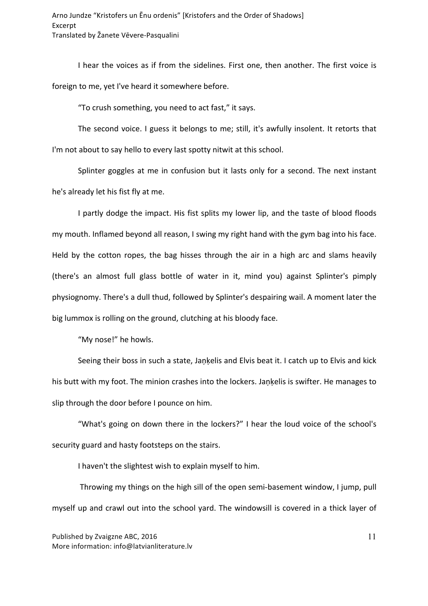I hear the voices as if from the sidelines. First one, then another. The first voice is foreign to me, yet I've heard it somewhere before.

"To crush something, you need to act fast," it says.

The second voice. I guess it belongs to me; still, it's awfully insolent. It retorts that I'm not about to say hello to every last spotty nitwit at this school.

Splinter goggles at me in confusion but it lasts only for a second. The next instant he's already let his fist fly at me.

I partly dodge the impact. His fist splits my lower lip, and the taste of blood floods my mouth. Inflamed beyond all reason, I swing my right hand with the gym bag into his face. Held by the cotton ropes, the bag hisses through the air in a high arc and slams heavily (there's an almost full glass bottle of water in it, mind you) against Splinter's pimply physiognomy. There's a dull thud, followed by Splinter's despairing wail. A moment later the big lummox is rolling on the ground, clutching at his bloody face.

"My nose!" he howls.

Seeing their boss in such a state, Jankelis and Elvis beat it. I catch up to Elvis and kick his butt with my foot. The minion crashes into the lockers. Jankelis is swifter. He manages to slip through the door before I pounce on him.

"What's going on down there in the lockers?" I hear the loud voice of the school's security guard and hasty footsteps on the stairs.

I haven't the slightest wish to explain myself to him.

Throwing my things on the high sill of the open semi-basement window, I jump, pull myself up and crawl out into the school yard. The windowsill is covered in a thick layer of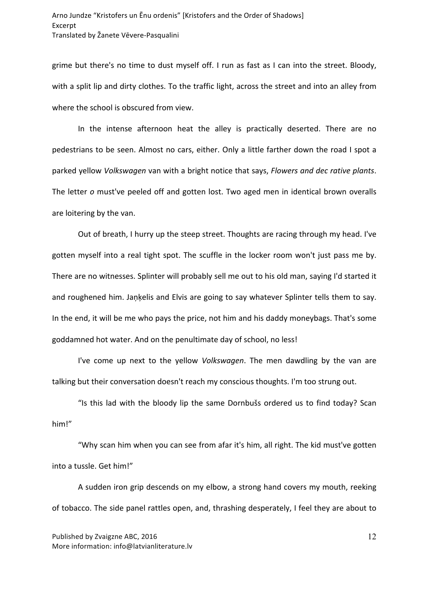grime but there's no time to dust myself off. I run as fast as I can into the street. Bloody, with a split lip and dirty clothes. To the traffic light, across the street and into an alley from where the school is obscured from view.

In the intense afternoon heat the alley is practically deserted. There are no pedestrians to be seen. Almost no cars, either. Only a little farther down the road I spot a parked yellow *Volkswagen* van with a bright notice that says, *Flowers and dec rative plants*. The letter o must've peeled off and gotten lost. Two aged men in identical brown overalls are loitering by the van.

Out of breath, I hurry up the steep street. Thoughts are racing through my head. I've gotten myself into a real tight spot. The scuffle in the locker room won't just pass me by. There are no witnesses. Splinter will probably sell me out to his old man, saying I'd started it and roughened him. Jankelis and Elvis are going to say whatever Splinter tells them to say. In the end, it will be me who pays the price, not him and his daddy moneybags. That's some goddamned hot water. And on the penultimate day of school, no less!

I've come up next to the yellow *Volkswagen*. The men dawdling by the van are talking but their conversation doesn't reach my conscious thoughts. I'm too strung out.

"Is this lad with the bloody lip the same Dornbušs ordered us to find today? Scan him!"

"Why scan him when you can see from afar it's him, all right. The kid must've gotten into a tussle. Get him!"

A sudden iron grip descends on my elbow, a strong hand covers my mouth, reeking of tobacco. The side panel rattles open, and, thrashing desperately, I feel they are about to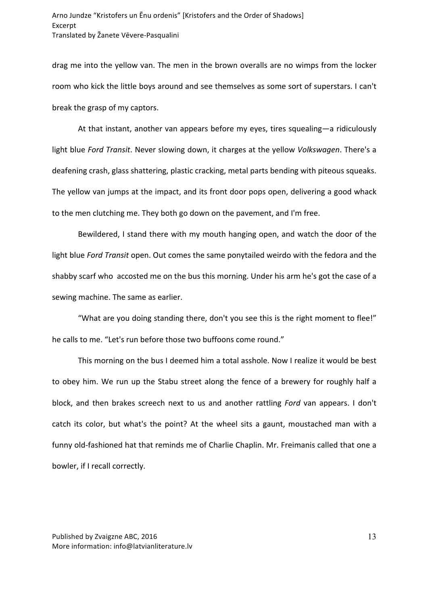drag me into the yellow van. The men in the brown overalls are no wimps from the locker room who kick the little boys around and see themselves as some sort of superstars. I can't break the grasp of my captors.

At that instant, another van appears before my eyes, tires squealing—a ridiculously light blue Ford Transit. Never slowing down, it charges at the yellow *Volkswagen*. There's a deafening crash, glass shattering, plastic cracking, metal parts bending with piteous squeaks. The yellow van jumps at the impact, and its front door pops open, delivering a good whack to the men clutching me. They both go down on the pavement, and I'm free.

Bewildered, I stand there with my mouth hanging open, and watch the door of the light blue Ford Transit open. Out comes the same ponytailed weirdo with the fedora and the shabby scarf who accosted me on the bus this morning. Under his arm he's got the case of a sewing machine. The same as earlier.

"What are you doing standing there, don't you see this is the right moment to flee!" he calls to me. "Let's run before those two buffoons come round."

This morning on the bus I deemed him a total asshole. Now I realize it would be best to obey him. We run up the Stabu street along the fence of a brewery for roughly half a block, and then brakes screech next to us and another rattling *Ford* van appears. I don't catch its color, but what's the point? At the wheel sits a gaunt, moustached man with a funny old-fashioned hat that reminds me of Charlie Chaplin. Mr. Freimanis called that one a bowler, if I recall correctly.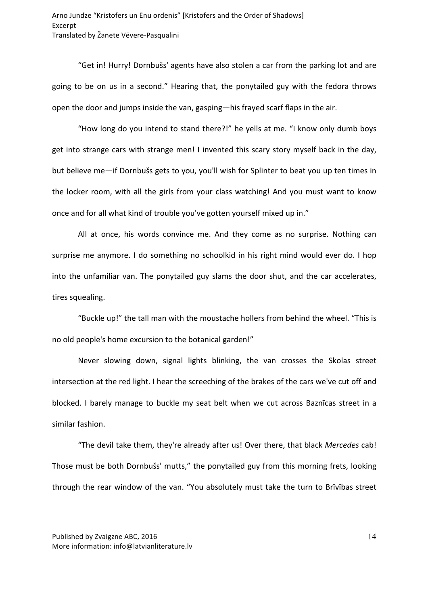"Get in! Hurry! Dornbušs' agents have also stolen a car from the parking lot and are going to be on us in a second." Hearing that, the ponytailed guy with the fedora throws open the door and jumps inside the van, gasping—his frayed scarf flaps in the air.

"How long do you intend to stand there?!" he yells at me. "I know only dumb boys get into strange cars with strange men! I invented this scary story myself back in the day, but believe me-if Dornbušs gets to you, you'll wish for Splinter to beat you up ten times in the locker room, with all the girls from your class watching! And you must want to know once and for all what kind of trouble you've gotten yourself mixed up in."

All at once, his words convince me. And they come as no surprise. Nothing can surprise me anymore. I do something no schoolkid in his right mind would ever do. I hop into the unfamiliar van. The ponytailed guy slams the door shut, and the car accelerates, tires squealing.

"Buckle up!" the tall man with the moustache hollers from behind the wheel. "This is no old people's home excursion to the botanical garden!"

Never slowing down, signal lights blinking, the van crosses the Skolas street intersection at the red light. I hear the screeching of the brakes of the cars we've cut off and blocked. I barely manage to buckle my seat belt when we cut across Baznicas street in a similar fashion.

"The devil take them, they're already after us! Over there, that black *Mercedes* cab! Those must be both Dornbušs' mutts," the ponytailed guy from this morning frets, looking through the rear window of the van. "You absolutely must take the turn to Brīvības street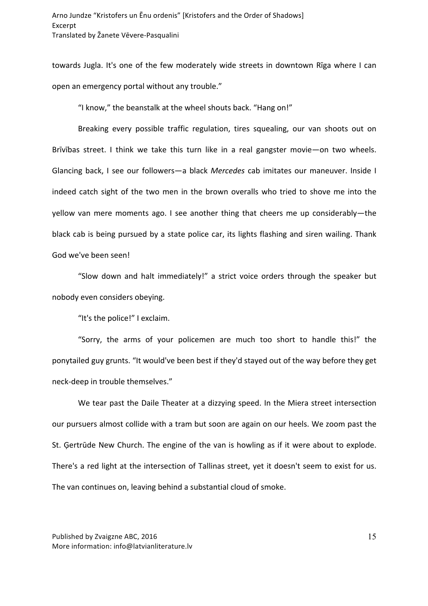towards Jugla. It's one of the few moderately wide streets in downtown Rīga where I can open an emergency portal without any trouble."

"I know," the beanstalk at the wheel shouts back. "Hang on!"

Breaking every possible traffic regulation, tires squealing, our van shoots out on Brīvības street. I think we take this turn like in a real gangster movie—on two wheels. Glancing back, I see our followers—a black *Mercedes* cab imitates our maneuver. Inside I indeed catch sight of the two men in the brown overalls who tried to shove me into the yellow van mere moments ago. I see another thing that cheers me up considerably—the black cab is being pursued by a state police car, its lights flashing and siren wailing. Thank God we've been seen!

"Slow down and halt immediately!" a strict voice orders through the speaker but nobody even considers obeying.

"It's the police!" I exclaim.

"Sorry, the arms of your policemen are much too short to handle this!" the ponytailed guy grunts. "It would've been best if they'd stayed out of the way before they get neck-deep in trouble themselves."

We tear past the Daile Theater at a dizzying speed. In the Miera street intersection our pursuers almost collide with a tram but soon are again on our heels. We zoom past the St. Gertrüde New Church. The engine of the van is howling as if it were about to explode. There's a red light at the intersection of Tallinas street, yet it doesn't seem to exist for us. The van continues on, leaving behind a substantial cloud of smoke.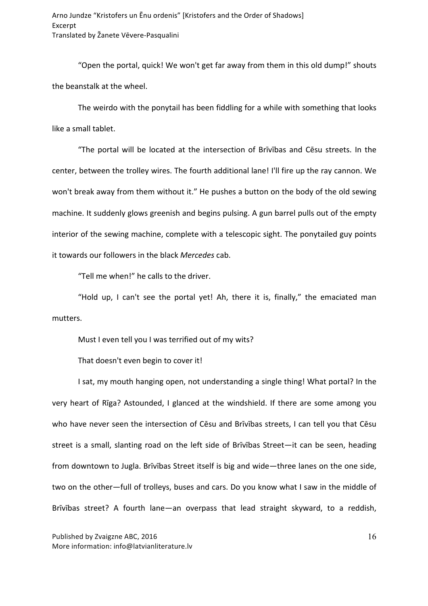"Open the portal, quick! We won't get far away from them in this old dump!" shouts the beanstalk at the wheel.

The weirdo with the ponytail has been fiddling for a while with something that looks like a small tablet.

"The portal will be located at the intersection of Brīvības and Cēsu streets. In the center, between the trolley wires. The fourth additional lane! I'll fire up the ray cannon. We won't break away from them without it." He pushes a button on the body of the old sewing machine. It suddenly glows greenish and begins pulsing. A gun barrel pulls out of the empty interior of the sewing machine, complete with a telescopic sight. The ponytailed guy points it towards our followers in the black Mercedes cab.

"Tell me when!" he calls to the driver.

"Hold up, I can't see the portal yet! Ah, there it is, finally," the emaciated man mutters.

Must I even tell you I was terrified out of my wits?

That doesn't even begin to cover it!

I sat, my mouth hanging open, not understanding a single thing! What portal? In the very heart of Rīga? Astounded, I glanced at the windshield. If there are some among you who have never seen the intersection of Cēsu and Brīvības streets, I can tell you that Cēsu street is a small, slanting road on the left side of Brīvības Street—it can be seen, heading from downtown to Jugla. Brīvības Street itself is big and wide—three lanes on the one side, two on the other—full of trolleys, buses and cars. Do you know what I saw in the middle of Brīvības street? A fourth lane—an overpass that lead straight skyward, to a reddish,

Published by Zvaigzne ABC, 2016 More information: info@latvianliterature.lv